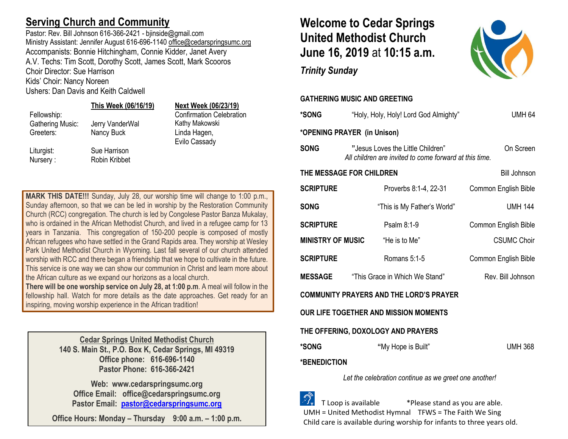### **Serving Church and Community**

Pastor: Rev. Bill Johnson 616-366-2421 - bjinside@gmail.com Ministry Assistant: Jennifer August 616-696-1140 [office@cedarspringsumc.org](mailto:office@cedarspringsumc.org) Accompanists: Bonnie Hitchingham, Connie Kidder, Janet Avery A.V. Techs: Tim Scott, Dorothy Scott, James Scott, Mark Scooros Choir Director: Sue Harrison Kids' Choir: Nancy Noreen

Ushers: Dan Davis and Keith Caldwell

#### **This Week (06/16/19) Next Week (06/23/19)**

Liturgist: Sue Harrison Nursery : Robin Kribbet

Fellowship: Confirmation Celebration Gathering Music: Jerry VanderWal Kathy Makowski Greeters: Nancy Buck **Linda Hagen,** Evilo Cassady

**MARK THIS DATE!!!** Sunday, July 28, our worship time will change to 1:00 p.m., Sunday afternoon, so that we can be led in worship by the Restoration Community Church (RCC) congregation. The church is led by Congolese Pastor Banza Mukalay, who is ordained in the African Methodist Church, and lived in a refugee camp for 13 years in Tanzania. This congregation of 150-200 people is composed of mostly African refugees who have settled in the Grand Rapids area. They worship at Wesley Park United Methodist Church in Wyoming. Last fall several of our church attended worship with RCC and there began a friendship that we hope to cultivate in the future. This service is one way we can show our communion in Christ and learn more about the African culture as we expand our horizons as a local church.

**There will be one worship service on July 28, at 1:00 p.m**. A meal will follow in the fellowship hall. Watch for more details as the date approaches. Get ready for an inspiring, moving worship experience in the African tradition!

> **Cedar Springs United Methodist Church 140 S. Main St., P.O. Box K, Cedar Springs, MI 49319 Office phone: 616-696-1140 Pastor Phone: 616-366-2421**

**Web: www.cedarspringsumc.org Office Email: office@cedarspringsumc.org Pastor Email: [pastor@cedarspringsumc.org](mailto:pastor@cedarspringsumc.org)**

**Office Hours: Monday – Thursday 9:00 a.m. – 1:00 p.m.**

## **Welcome to Cedar Springs United Methodist Church June 16, 2019** at **10:15 a.m.**

*Trinity Sunday*



| <b>*SONG</b>                | "Holy, Holy, Holy! Lord God Almighty"                                                       | <b>UMH 64</b>        |
|-----------------------------|---------------------------------------------------------------------------------------------|----------------------|
| *OPENING PRAYER (in Unison) |                                                                                             |                      |
| <b>SONG</b>                 | "Jesus Loves the Little Children"<br>All children are invited to come forward at this time. | On Screen            |
| THE MESSAGE FOR CHILDREN    |                                                                                             | <b>Bill Johnson</b>  |
| <b>SCRIPTURE</b>            | Proverbs 8:1-4, 22-31                                                                       | Common English Bible |
| <b>SONG</b>                 | "This is My Father's World"                                                                 | <b>UMH 144</b>       |
| <b>SCRIPTURE</b>            | Psalm 8:1-9                                                                                 | Common English Bible |
| <b>MINISTRY OF MUSIC</b>    | "He is to Me"                                                                               | <b>CSUMC Choir</b>   |
| <b>SCRIPTURE</b>            | Romans 5:1-5                                                                                | Common English Bible |
| <b>MESSAGE</b>              | "This Grace in Which We Stand"                                                              | Rev. Bill Johnson    |
|                             | <b>COMMUNITY PRAYERS AND THE LORD'S PRAYER</b>                                              |                      |
|                             | OUR LIFE TOGETHER AND MISSION MOMENTS                                                       |                      |
|                             | THE OFFERING, DOXOLOGY AND PRAYERS                                                          |                      |
| *SONG                       | "My Hope is Built"                                                                          | <b>UMH 368</b>       |
| <b>*BENEDICTION</b>         |                                                                                             |                      |
|                             |                                                                                             |                      |

*Let the celebration continue as we greet one another!*

 T Loop is available \*Please stand as you are able. UMH = United Methodist Hymnal TFWS = The Faith We Sing Child care is available during worship for infants to three years old.